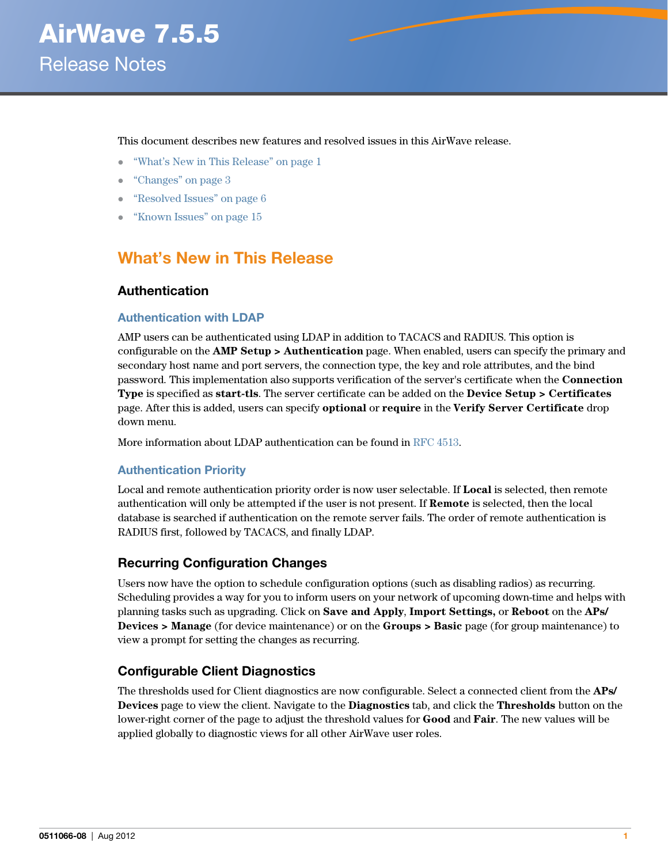This document describes new features and resolved issues in this AirWave release.

- ["What's New in This Release" on page 1](#page-0-0)
- ["Changes" on page 3](#page-2-0)
- ["Resolved Issues" on page 6](#page-5-0)
- ["Known Issues" on page 15](#page-14-0)

# <span id="page-0-0"></span>**What's New in This Release**

### **Authentication**

#### **Authentication with LDAP**

AMP users can be authenticated using LDAP in addition to TACACS and RADIUS. This option is configurable on the **AMP Setup > Authentication** page. When enabled, users can specify the primary and secondary host name and port servers, the connection type, the key and role attributes, and the bind password. This implementation also supports verification of the server's certificate when the **Connection Type** is specified as **start-tls**. The server certificate can be added on the **Device Setup > Certificates**  page. After this is added, users can specify **optional** or **require** in the **Verify Server Certificate** drop down menu.

More information about LDAP authentication can be found in [RFC 4513.](http://tools.ietf.org/html/rfc4513 )

#### **Authentication Priority**

Local and remote authentication priority order is now user selectable. If **Local** is selected, then remote authentication will only be attempted if the user is not present. If **Remote** is selected, then the local database is searched if authentication on the remote server fails. The order of remote authentication is RADIUS first, followed by TACACS, and finally LDAP.

### **Recurring Configuration Changes**

Users now have the option to schedule configuration options (such as disabling radios) as recurring. Scheduling provides a way for you to inform users on your network of upcoming down-time and helps with planning tasks such as upgrading. Click on **Save and Apply**, **Import Settings,** or **Reboot** on the **APs/ Devices > Manage** (for device maintenance) or on the **Groups > Basic** page (for group maintenance) to view a prompt for setting the changes as recurring.

### **Configurable Client Diagnostics**

The thresholds used for Client diagnostics are now configurable. Select a connected client from the **APs/ Devices** page to view the client. Navigate to the **Diagnostics** tab, and click the **Thresholds** button on the lower-right corner of the page to adjust the threshold values for **Good** and **Fair**. The new values will be applied globally to diagnostic views for all other AirWave user roles.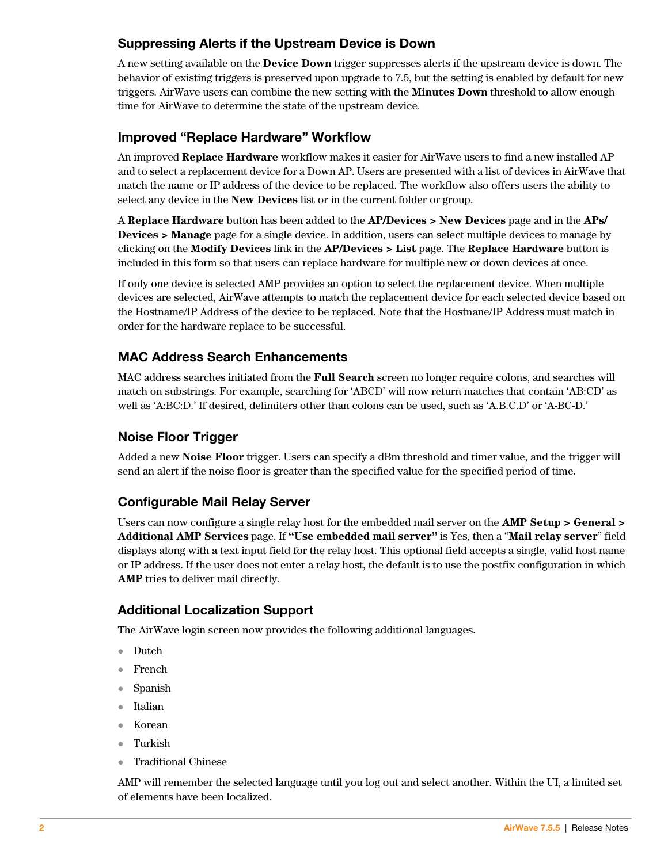# **Suppressing Alerts if the Upstream Device is Down**

A new setting available on the **Device Down** trigger suppresses alerts if the upstream device is down. The behavior of existing triggers is preserved upon upgrade to 7.5, but the setting is enabled by default for new triggers. AirWave users can combine the new setting with the **Minutes Down** threshold to allow enough time for AirWave to determine the state of the upstream device.

# **Improved "Replace Hardware" Workflow**

An improved **Replace Hardware** workflow makes it easier for AirWave users to find a new installed AP and to select a replacement device for a Down AP. Users are presented with a list of devices in AirWave that match the name or IP address of the device to be replaced. The workflow also offers users the ability to select any device in the **New Devices** list or in the current folder or group.

A **Replace Hardware** button has been added to the **AP/Devices > New Devices** page and in the **APs/ Devices > Manage** page for a single device. In addition, users can select multiple devices to manage by clicking on the **Modify Devices** link in the **AP/Devices > List** page. The **Replace Hardware** button is included in this form so that users can replace hardware for multiple new or down devices at once.

If only one device is selected AMP provides an option to select the replacement device. When multiple devices are selected, AirWave attempts to match the replacement device for each selected device based on the Hostname/IP Address of the device to be replaced. Note that the Hostnane/IP Address must match in order for the hardware replace to be successful.

# **MAC Address Search Enhancements**

MAC address searches initiated from the **Full Search** screen no longer require colons, and searches will match on substrings. For example, searching for 'ABCD' will now return matches that contain 'AB:CD' as well as 'A:BC:D.' If desired, delimiters other than colons can be used, such as 'A.B.C.D' or 'A-BC-D.'

# **Noise Floor Trigger**

Added a new **Noise Floor** trigger. Users can specify a dBm threshold and timer value, and the trigger will send an alert if the noise floor is greater than the specified value for the specified period of time.

# **Configurable Mail Relay Server**

Users can now configure a single relay host for the embedded mail server on the **AMP Setup > General > Additional AMP Services** page. If **"Use embedded mail server"** is Yes, then a "**Mail relay server**" field displays along with a text input field for the relay host. This optional field accepts a single, valid host name or IP address. If the user does not enter a relay host, the default is to use the postfix configuration in which **AMP** tries to deliver mail directly.

## **Additional Localization Support**

The AirWave login screen now provides the following additional languages.

- Dutch
- French
- Spanish
- Italian
- Korean
- Turkish
- Traditional Chinese

AMP will remember the selected language until you log out and select another. Within the UI, a limited set of elements have been localized.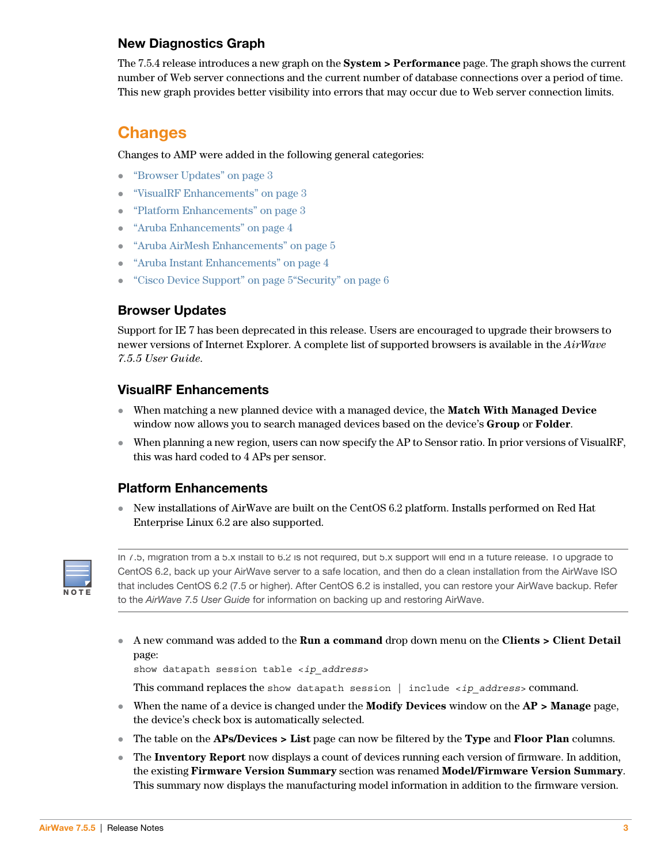# <span id="page-2-4"></span>**New Diagnostics Graph**

The 7.5.4 release introduces a new graph on the **System > Performance** page. The graph shows the current number of Web server connections and the current number of database connections over a period of time. This new graph provides better visibility into errors that may occur due to Web server connection limits.

# <span id="page-2-0"></span>**Changes**

Changes to AMP were added in the following general categories:

- ["Browser Updates" on page 3](#page-2-3)
- ["VisualRF Enhancements" on page 3](#page-2-1)
- ["Platform Enhancements" on page 3](#page-2-2)
- ["Aruba Enhancements" on page 4](#page-3-0)
- ["Aruba AirMesh Enhancements" on page 5](#page-4-0)
- ["Aruba Instant Enhancements" on page 4](#page-3-1)
- ["Cisco Device Support" on page 5](#page-4-1)["Security" on page 6](#page-5-1)

# <span id="page-2-3"></span>**Browser Updates**

Support for IE 7 has been deprecated in this release. Users are encouraged to upgrade their browsers to newer versions of Internet Explorer. A complete list of supported browsers is available in the *AirWave 7.5.5 User Guide*.

## <span id="page-2-1"></span>**VisualRF Enhancements**

- When matching a new planned device with a managed device, the **Match With Managed Device** window now allows you to search managed devices based on the device's **Group** or **Folder**.
- When planning a new region, users can now specify the AP to Sensor ratio. In prior versions of VisualRF, this was hard coded to 4 APs per sensor.

## <span id="page-2-2"></span>**Platform Enhancements**

 New installations of AirWave are built on the CentOS 6.2 platform. Installs performed on Red Hat Enterprise Linux 6.2 are also supported.



In 7.5, migration from a 5.x install to 6.2 is not required, but 5.x support will end in a future release. To upgrade to CentOS 6.2, back up your AirWave server to a safe location, and then do a clean installation from the AirWave ISO that includes CentOS 6.2 (7.5 or higher). After CentOS 6.2 is installed, you can restore your AirWave backup. Refer to the AirWave 7.5 User Guide for information on backing up and restoring AirWave.

 A new command was added to the **Run a command** drop down menu on the **Clients > Client Detail**  page:

show datapath session table <*ip\_address*>

This command replaces the show datapath session | include <*ip\_address*> command.

- When the name of a device is changed under the **Modify Devices** window on the **AP > Manage** page, the device's check box is automatically selected.
- The table on the **APs/Devices > List** page can now be filtered by the **Type** and **Floor Plan** columns.
- The **Inventory Report** now displays a count of devices running each version of firmware. In addition, the existing **Firmware Version Summary** section was renamed **Model/Firmware Version Summary**. This summary now displays the manufacturing model information in addition to the firmware version.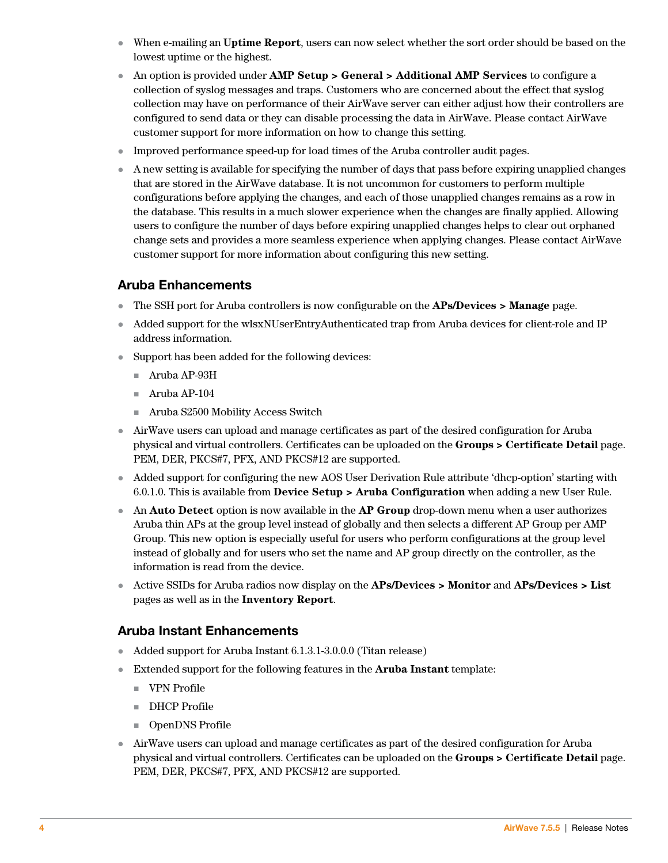- When e-mailing an **Uptime Report**, users can now select whether the sort order should be based on the lowest uptime or the highest.
- An option is provided under **AMP Setup > General > Additional AMP Services** to configure a collection of syslog messages and traps. Customers who are concerned about the effect that syslog collection may have on performance of their AirWave server can either adjust how their controllers are configured to send data or they can disable processing the data in AirWave. Please contact AirWave customer support for more information on how to change this setting.
- Improved performance speed-up for load times of the Aruba controller audit pages.
- A new setting is available for specifying the number of days that pass before expiring unapplied changes that are stored in the AirWave database. It is not uncommon for customers to perform multiple configurations before applying the changes, and each of those unapplied changes remains as a row in the database. This results in a much slower experience when the changes are finally applied. Allowing users to configure the number of days before expiring unapplied changes helps to clear out orphaned change sets and provides a more seamless experience when applying changes. Please contact AirWave customer support for more information about configuring this new setting.

## <span id="page-3-0"></span>**Aruba Enhancements**

- The SSH port for Aruba controllers is now configurable on the **APs/Devices > Manage** page.
- Added support for the wlsxNUserEntryAuthenticated trap from Aruba devices for client-role and IP address information.
- Support has been added for the following devices:
	- Aruba AP-93H
	- $\blacksquare$  Aruba AP-104
	- Aruba S2500 Mobility Access Switch
- AirWave users can upload and manage certificates as part of the desired configuration for Aruba physical and virtual controllers. Certificates can be uploaded on the **Groups > Certificate Detail** page. PEM, DER, PKCS#7, PFX, AND PKCS#12 are supported.
- Added support for configuring the new AOS User Derivation Rule attribute 'dhcp-option' starting with 6.0.1.0. This is available from **Device Setup > Aruba Configuration** when adding a new User Rule.
- An **Auto Detect** option is now available in the **AP Group** drop-down menu when a user authorizes Aruba thin APs at the group level instead of globally and then selects a different AP Group per AMP Group. This new option is especially useful for users who perform configurations at the group level instead of globally and for users who set the name and AP group directly on the controller, as the information is read from the device.
- Active SSIDs for Aruba radios now display on the **APs/Devices > Monitor** and **APs/Devices > List** pages as well as in the **Inventory Report**.

## <span id="page-3-1"></span>**Aruba Instant Enhancements**

- Added support for Aruba Instant 6.1.3.1-3.0.0.0 (Titan release)
- Extended support for the following features in the **Aruba Instant** template:
	- VPN Profile
	- **DHCP** Profile
	- OpenDNS Profile
- AirWave users can upload and manage certificates as part of the desired configuration for Aruba physical and virtual controllers. Certificates can be uploaded on the **Groups > Certificate Detail** page. PEM, DER, PKCS#7, PFX, AND PKCS#12 are supported.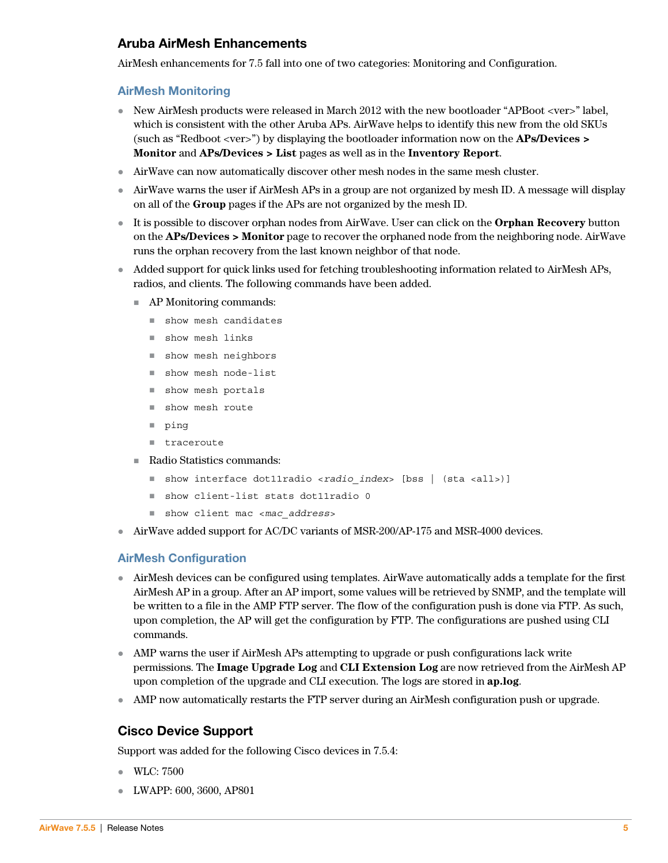## <span id="page-4-0"></span>**Aruba AirMesh Enhancements**

AirMesh enhancements for 7.5 fall into one of two categories: Monitoring and Configuration.

### **AirMesh Monitoring**

- New AirMesh products were released in March 2012 with the new bootloader "APBoot <ver>" label, which is consistent with the other Aruba APs. AirWave helps to identify this new from the old SKUs (such as "Redboot <ver>") by displaying the bootloader information now on the **APs/Devices > Monitor** and **APs/Devices > List** pages as well as in the **Inventory Report**.
- AirWave can now automatically discover other mesh nodes in the same mesh cluster.
- AirWave warns the user if AirMesh APs in a group are not organized by mesh ID. A message will display on all of the **Group** pages if the APs are not organized by the mesh ID.
- It is possible to discover orphan nodes from AirWave. User can click on the **Orphan Recovery** button on the **APs/Devices > Monitor** page to recover the orphaned node from the neighboring node. AirWave runs the orphan recovery from the last known neighbor of that node.
- Added support for quick links used for fetching troubleshooting information related to AirMesh APs, radios, and clients. The following commands have been added.
	- AP Monitoring commands:
		- show mesh candidates
		- show mesh links
		- show mesh neighbors
		- show mesh node-list
		- show mesh portals
		- show mesh route
		- ping
		- **traceroute**
	- Radio Statistics commands:
		- show interface dot11radio <*radio* index> [bss | (sta <all>)]
		- show client-list stats dot11radio 0
		- show client mac <*mac\_address*>
- $\blacktriangleright$  AirWave added support for AC/DC variants of MSR-200/AP-175 and MSR-4000 devices.

#### **AirMesh Configuration**

- AirMesh devices can be configured using templates. AirWave automatically adds a template for the first AirMesh AP in a group. After an AP import, some values will be retrieved by SNMP, and the template will be written to a file in the AMP FTP server. The flow of the configuration push is done via FTP. As such, upon completion, the AP will get the configuration by FTP. The configurations are pushed using CLI commands.
- AMP warns the user if AirMesh APs attempting to upgrade or push configurations lack write permissions. The **Image Upgrade Log** and **CLI Extension Log** are now retrieved from the AirMesh AP upon completion of the upgrade and CLI execution. The logs are stored in **ap.log**.
- AMP now automatically restarts the FTP server during an AirMesh configuration push or upgrade.

## <span id="page-4-1"></span>**Cisco Device Support**

Support was added for the following Cisco devices in 7.5.4:

- WLC: 7500
- LWAPP: 600, 3600, AP801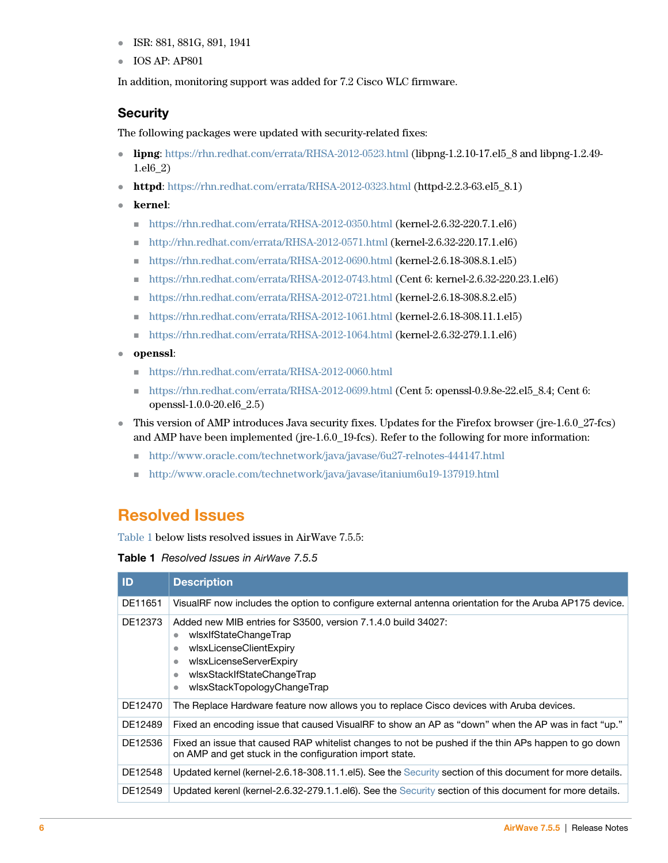- **ISR: 881, 881G, 891, 1941**
- IOS AP: AP801

In addition, monitoring support was added for 7.2 Cisco WLC firmware.

## <span id="page-5-1"></span>**Security**

The following packages were updated with security-related fixes:

- **lipng**:<https://rhn.redhat.com/errata/RHSA-2012-0523.html>(libpng-1.2.10-17.el5\_8 and libpng-1.2.49- 1.el6\_2)
- httpd: <https://rhn.redhat.com/errata/RHSA-2012-0323.html>(httpd-2.2.3-63.el5 8.1)
- **kernel**:
	- $\blacksquare$  https://rhn.redhat.com/errata/RHSA-2012-0350.html (kernel-2.6.32-220.7.1.el6)
	- <http://rhn.redhat.com/errata/RHSA-2012-0571.html>(kernel-2.6.32-220.17.1.el6)
	- https://rhn.redhat.com/errata/RHSA-2012-0690.html (kernel-2.6.18-308.8.1.el5)
	- $\blacksquare$  https://rhn.redhat.com/errata/RHSA-2012-0743.html (Cent 6: kernel-2.6.32-220.23.1.el6)
	- https://rhn.redhat.com/errata/RHSA-2012-0721.html (kernel-2.6.18-308.8.2.el5)
	- https://rhn.redhat.com/errata/RHSA-2012-1061.html (kernel-2.6.18-308.11.1.el5)
	- https://rhn.redhat.com/errata/RHSA-2012-1064.html (kernel-2.6.32-279.1.1.el6)
- **openssl**:
	- <https://rhn.redhat.com/errata/RHSA-2012-0060.html>
	- https://rhn.redhat.com/errata/RHSA-2012-0699.html (Cent 5: openssl-0.9.8e-22.el5\_8.4; Cent 6: openssl-1.0.0-20.el6\_2.5)
- This version of AMP introduces Java security fixes. Updates for the Firefox browser (jre-1.6.0 27-fcs) and AMP have been implemented (jre-1.6.0\_19-fcs). Refer to the following for more information:
	- <http://www.oracle.com/technetwork/java/javase/6u27-relnotes-444147.html>
	- <http://www.oracle.com/technetwork/java/javase/itanium6u19-137919.html>

# <span id="page-5-0"></span>**Resolved Issues**

[Table 1](#page-5-2) below lists resolved issues in AirWave 7.5.5:

<span id="page-5-2"></span>**Table 1** Resolved Issues in AirWave 7.5.5

| ID      | <b>Description</b>                                                                                                                                                                                                                         |
|---------|--------------------------------------------------------------------------------------------------------------------------------------------------------------------------------------------------------------------------------------------|
| DE11651 | VisualRF now includes the option to configure external antenna orientation for the Aruba AP175 device.                                                                                                                                     |
| DE12373 | Added new MIB entries for S3500, version 7.1.4.0 build 34027:<br>wlsxlfStateChangeTrap<br>٠<br>wlsxLicenseClientExpiry<br>$\bullet$<br>wlsxLicenseServerExpiry<br>٠<br>wlsxStackIfStateChangeTrap<br>٠<br>wlsxStackTopologyChangeTrap<br>٠ |
| DE12470 | The Replace Hardware feature now allows you to replace Cisco devices with Aruba devices.                                                                                                                                                   |
| DE12489 | Fixed an encoding issue that caused VisualRF to show an AP as "down" when the AP was in fact "up."                                                                                                                                         |
| DE12536 | Fixed an issue that caused RAP whitelist changes to not be pushed if the thin APs happen to go down<br>on AMP and get stuck in the configuration import state.                                                                             |
| DE12548 | Updated kernel (kernel-2.6.18-308.11.1.el5). See the Security section of this document for more details.                                                                                                                                   |
| DE12549 | Updated kerenl (kernel-2.6.32-279.1.1.el6). See the Security section of this document for more details.                                                                                                                                    |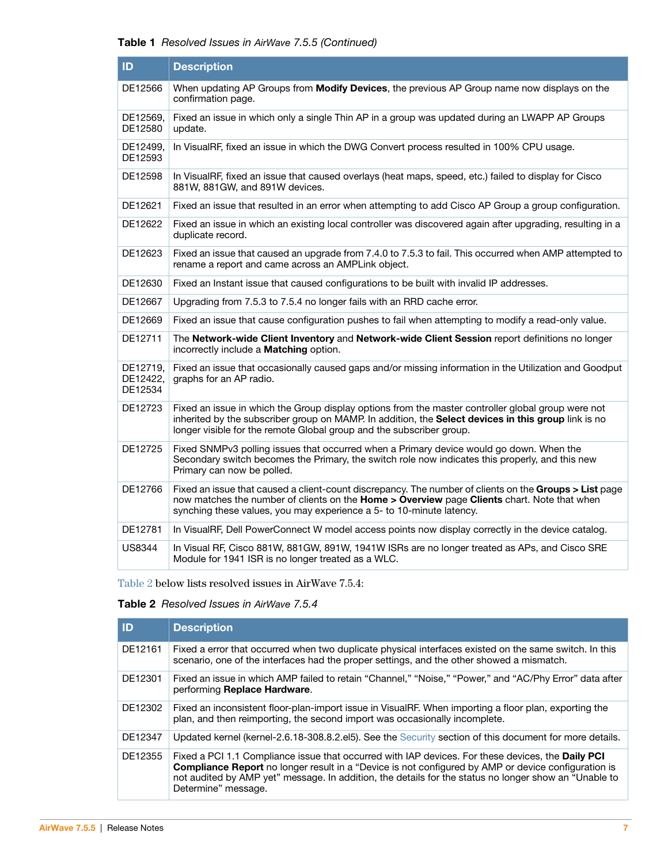| ID                              | <b>Description</b>                                                                                                                                                                                                                                                                |
|---------------------------------|-----------------------------------------------------------------------------------------------------------------------------------------------------------------------------------------------------------------------------------------------------------------------------------|
| DE12566                         | When updating AP Groups from Modify Devices, the previous AP Group name now displays on the<br>confirmation page.                                                                                                                                                                 |
| DE12569.<br>DE12580             | Fixed an issue in which only a single Thin AP in a group was updated during an LWAPP AP Groups<br>update.                                                                                                                                                                         |
| DE12499,<br>DE12593             | In VisualRF, fixed an issue in which the DWG Convert process resulted in 100% CPU usage.                                                                                                                                                                                          |
| DE12598                         | In VisualRF, fixed an issue that caused overlays (heat maps, speed, etc.) failed to display for Cisco<br>881W, 881GW, and 891W devices.                                                                                                                                           |
| DE12621                         | Fixed an issue that resulted in an error when attempting to add Cisco AP Group a group configuration.                                                                                                                                                                             |
| DE12622                         | Fixed an issue in which an existing local controller was discovered again after upgrading, resulting in a<br>duplicate record.                                                                                                                                                    |
| DE12623                         | Fixed an issue that caused an upgrade from 7.4.0 to 7.5.3 to fail. This occurred when AMP attempted to<br>rename a report and came across an AMPLink object.                                                                                                                      |
| DE12630                         | Fixed an Instant issue that caused configurations to be built with invalid IP addresses.                                                                                                                                                                                          |
| DE12667                         | Upgrading from 7.5.3 to 7.5.4 no longer fails with an RRD cache error.                                                                                                                                                                                                            |
| DE12669                         | Fixed an issue that cause configuration pushes to fail when attempting to modify a read-only value.                                                                                                                                                                               |
| DE12711                         | The Network-wide Client Inventory and Network-wide Client Session report definitions no longer<br>incorrectly include a <b>Matching</b> option.                                                                                                                                   |
| DE12719.<br>DE12422,<br>DE12534 | Fixed an issue that occasionally caused gaps and/or missing information in the Utilization and Goodput<br>graphs for an AP radio.                                                                                                                                                 |
| DE12723                         | Fixed an issue in which the Group display options from the master controller global group were not<br>inherited by the subscriber group on MAMP. In addition, the Select devices in this group link is no<br>longer visible for the remote Global group and the subscriber group. |
| DE12725                         | Fixed SNMPv3 polling issues that occurred when a Primary device would go down. When the<br>Secondary switch becomes the Primary, the switch role now indicates this properly, and this new<br>Primary can now be polled.                                                          |
| DE12766                         | Fixed an issue that caused a client-count discrepancy. The number of clients on the Groups > List page<br>now matches the number of clients on the Home > Overview page Clients chart. Note that when<br>synching these values, you may experience a 5- to 10-minute latency.     |
| DE12781                         | In VisualRF, Dell PowerConnect W model access points now display correctly in the device catalog.                                                                                                                                                                                 |
| <b>US8344</b>                   | In Visual RF, Cisco 881W, 881GW, 891W, 1941W ISRs are no longer treated as APs, and Cisco SRE<br>Module for 1941 ISR is no longer treated as a WLC.                                                                                                                               |

[Table 2](#page-6-0) below lists resolved issues in AirWave 7.5.4:

#### <span id="page-6-0"></span>**Table 2** Resolved Issues in AirWave 7.5.4

| ID      | <b>Description</b>                                                                                                                                                                                                                                                                                                                              |
|---------|-------------------------------------------------------------------------------------------------------------------------------------------------------------------------------------------------------------------------------------------------------------------------------------------------------------------------------------------------|
| DE12161 | Fixed a error that occurred when two duplicate physical interfaces existed on the same switch. In this<br>scenario, one of the interfaces had the proper settings, and the other showed a mismatch.                                                                                                                                             |
| DE12301 | Fixed an issue in which AMP failed to retain "Channel," "Noise," "Power," and "AC/Phy Error" data after<br>performing Replace Hardware.                                                                                                                                                                                                         |
| DE12302 | Fixed an inconsistent floor-plan-import issue in VisualRF. When importing a floor plan, exporting the<br>plan, and then reimporting, the second import was occasionally incomplete.                                                                                                                                                             |
| DE12347 | Updated kernel (kernel-2.6.18-308.8.2.el5). See the Security section of this document for more details.                                                                                                                                                                                                                                         |
| DE12355 | Fixed a PCI 1.1 Compliance issue that occurred with IAP devices. For these devices, the Daily PCI<br><b>Compliance Report</b> no longer result in a "Device is not configured by AMP or device configuration is<br>not audited by AMP yet" message. In addition, the details for the status no longer show an "Unable to<br>Determine" message. |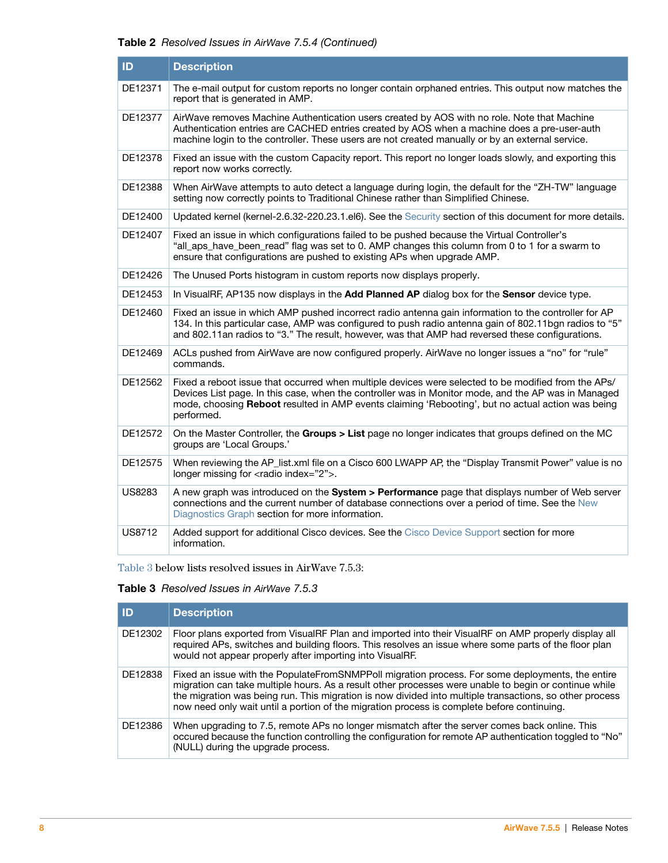| ID            | <b>Description</b>                                                                                                                                                                                                                                                                                                            |
|---------------|-------------------------------------------------------------------------------------------------------------------------------------------------------------------------------------------------------------------------------------------------------------------------------------------------------------------------------|
| DE12371       | The e-mail output for custom reports no longer contain orphaned entries. This output now matches the<br>report that is generated in AMP.                                                                                                                                                                                      |
| DE12377       | AirWave removes Machine Authentication users created by AOS with no role. Note that Machine<br>Authentication entries are CACHED entries created by AOS when a machine does a pre-user-auth<br>machine login to the controller. These users are not created manually or by an external service.                               |
| DE12378       | Fixed an issue with the custom Capacity report. This report no longer loads slowly, and exporting this<br>report now works correctly.                                                                                                                                                                                         |
| DE12388       | When AirWave attempts to auto detect a language during login, the default for the "ZH-TW" language<br>setting now correctly points to Traditional Chinese rather than Simplified Chinese.                                                                                                                                     |
| DE12400       | Updated kernel (kernel-2.6.32-220.23.1.el6). See the Security section of this document for more details.                                                                                                                                                                                                                      |
| DE12407       | Fixed an issue in which configurations failed to be pushed because the Virtual Controller's<br>"all_aps_have_been_read" flag was set to 0. AMP changes this column from 0 to 1 for a swarm to<br>ensure that configurations are pushed to existing APs when upgrade AMP.                                                      |
| DE12426       | The Unused Ports histogram in custom reports now displays properly.                                                                                                                                                                                                                                                           |
| DE12453       | In VisualRF, AP135 now displays in the Add Planned AP dialog box for the Sensor device type.                                                                                                                                                                                                                                  |
| DE12460       | Fixed an issue in which AMP pushed incorrect radio antenna gain information to the controller for AP<br>134. In this particular case, AMP was configured to push radio antenna gain of 802.11bgn radios to "5"<br>and 802.11an radios to "3." The result, however, was that AMP had reversed these configurations.            |
| DE12469       | ACLs pushed from AirWave are now configured properly. AirWave no longer issues a "no" for "rule"<br>commands.                                                                                                                                                                                                                 |
| DE12562       | Fixed a reboot issue that occurred when multiple devices were selected to be modified from the APs/<br>Devices List page. In this case, when the controller was in Monitor mode, and the AP was in Managed<br>mode, choosing Reboot resulted in AMP events claiming 'Rebooting', but no actual action was being<br>performed. |
| DE12572       | On the Master Controller, the Groups > List page no longer indicates that groups defined on the MC<br>groups are 'Local Groups.'                                                                                                                                                                                              |
| DE12575       | When reviewing the AP_list.xml file on a Cisco 600 LWAPP AP, the "Display Transmit Power" value is no<br>longer missing for <radio index="2">.</radio>                                                                                                                                                                        |
| <b>US8283</b> | A new graph was introduced on the System > Performance page that displays number of Web server<br>connections and the current number of database connections over a period of time. See the New<br>Diagnostics Graph section for more information.                                                                            |
| <b>US8712</b> | Added support for additional Cisco devices. See the Cisco Device Support section for more<br>information.                                                                                                                                                                                                                     |

[Table 3](#page-7-0) below lists resolved issues in AirWave 7.5.3:

### <span id="page-7-0"></span>**Table 3** Resolved Issues in AirWave 7.5.3

| ID      | <b>Description</b>                                                                                                                                                                                                                                                                                                                                                                                                 |
|---------|--------------------------------------------------------------------------------------------------------------------------------------------------------------------------------------------------------------------------------------------------------------------------------------------------------------------------------------------------------------------------------------------------------------------|
| DE12302 | Floor plans exported from VisualRF Plan and imported into their VisualRF on AMP properly display all<br>required APs, switches and building floors. This resolves an issue where some parts of the floor plan<br>would not appear properly after importing into VisualRF.                                                                                                                                          |
| DE12838 | Fixed an issue with the PopulateFromSNMPPoll migration process. For some deployments, the entire<br>migration can take multiple hours. As a result other processes were unable to begin or continue while<br>the migration was being run. This migration is now divided into multiple transactions, so other process<br>now need only wait until a portion of the migration process is complete before continuing. |
| DE12386 | When upgrading to 7.5, remote APs no longer mismatch after the server comes back online. This<br>occured because the function controlling the configuration for remote AP authentication toggled to "No"<br>(NULL) during the upgrade process.                                                                                                                                                                     |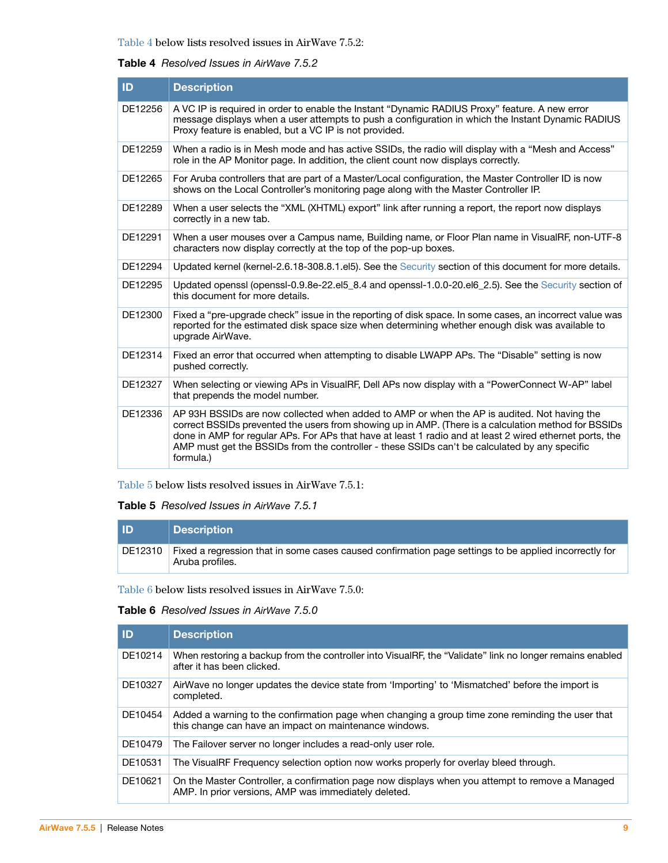### <span id="page-8-2"></span>**Table 4** Resolved Issues in AirWave 7.5.2

| ID      | <b>Description</b>                                                                                                                                                                                                                                                                                                                                                                                                            |
|---------|-------------------------------------------------------------------------------------------------------------------------------------------------------------------------------------------------------------------------------------------------------------------------------------------------------------------------------------------------------------------------------------------------------------------------------|
| DE12256 | A VC IP is required in order to enable the Instant "Dynamic RADIUS Proxy" feature. A new error<br>message displays when a user attempts to push a configuration in which the Instant Dynamic RADIUS<br>Proxy feature is enabled, but a VC IP is not provided.                                                                                                                                                                 |
| DE12259 | "When a radio is in Mesh mode and has active SSIDs, the radio will display with a "Mesh and Access"<br>role in the AP Monitor page. In addition, the client count now displays correctly.                                                                                                                                                                                                                                     |
| DE12265 | For Aruba controllers that are part of a Master/Local configuration, the Master Controller ID is now<br>shows on the Local Controller's monitoring page along with the Master Controller IP.                                                                                                                                                                                                                                  |
| DE12289 | When a user selects the "XML (XHTML) export" link after running a report, the report now displays<br>correctly in a new tab.                                                                                                                                                                                                                                                                                                  |
| DE12291 | When a user mouses over a Campus name, Building name, or Floor Plan name in VisualRF, non-UTF-8<br>characters now display correctly at the top of the pop-up boxes.                                                                                                                                                                                                                                                           |
| DE12294 | Updated kernel (kernel-2.6.18-308.8.1.el5). See the Security section of this document for more details.                                                                                                                                                                                                                                                                                                                       |
| DE12295 | Updated openssl (openssl-0.9.8e-22.el5_8.4 and openssl-1.0.0-20.el6_2.5). See the Security section of<br>this document for more details.                                                                                                                                                                                                                                                                                      |
| DE12300 | Fixed a "pre-upgrade check" issue in the reporting of disk space. In some cases, an incorrect value was<br>reported for the estimated disk space size when determining whether enough disk was available to<br>upgrade AirWave.                                                                                                                                                                                               |
| DE12314 | Fixed an error that occurred when attempting to disable LWAPP APs. The "Disable" setting is now<br>pushed correctly.                                                                                                                                                                                                                                                                                                          |
| DE12327 | When selecting or viewing APs in VisualRF, Dell APs now display with a "PowerConnect W-AP" label<br>that prepends the model number.                                                                                                                                                                                                                                                                                           |
| DE12336 | AP 93H BSSIDs are now collected when added to AMP or when the AP is audited. Not having the<br>correct BSSIDs prevented the users from showing up in AMP. (There is a calculation method for BSSIDs<br>done in AMP for regular APs. For APs that have at least 1 radio and at least 2 wired ethernet ports, the<br>AMP must get the BSSIDs from the controller - these SSIDs can't be calculated by any specific<br>formula.) |

[Table 5](#page-8-1) below lists resolved issues in AirWave 7.5.1:

### <span id="page-8-1"></span>**Table 5** Resolved Issues in AirWave 7.5.1

| <b>ID</b> | <b>Description</b>                                                                                                               |
|-----------|----------------------------------------------------------------------------------------------------------------------------------|
|           | DE12310 Fixed a regression that in some cases caused confirmation page settings to be applied incorrectly for<br>Aruba profiles. |

[Table 6](#page-8-0) below lists resolved issues in AirWave 7.5.0:

### <span id="page-8-0"></span>**Table 6** Resolved Issues in AirWave 7.5.0

| <b>ID</b> | <b>Description</b>                                                                                                                                         |
|-----------|------------------------------------------------------------------------------------------------------------------------------------------------------------|
| DE10214   | When restoring a backup from the controller into VisualRF, the "Validate" link no longer remains enabled<br>after it has been clicked.                     |
| DE10327   | AirWave no longer updates the device state from 'Importing' to 'Mismatched' before the import is<br>completed.                                             |
| DE10454   | Added a warning to the confirmation page when changing a group time zone reminding the user that<br>this change can have an impact on maintenance windows. |
| DE10479   | The Failover server no longer includes a read-only user role.                                                                                              |
| DE10531   | The VisualRF Frequency selection option now works properly for overlay bleed through.                                                                      |
| DE10621   | On the Master Controller, a confirmation page now displays when you attempt to remove a Managed<br>AMP. In prior versions, AMP was immediately deleted.    |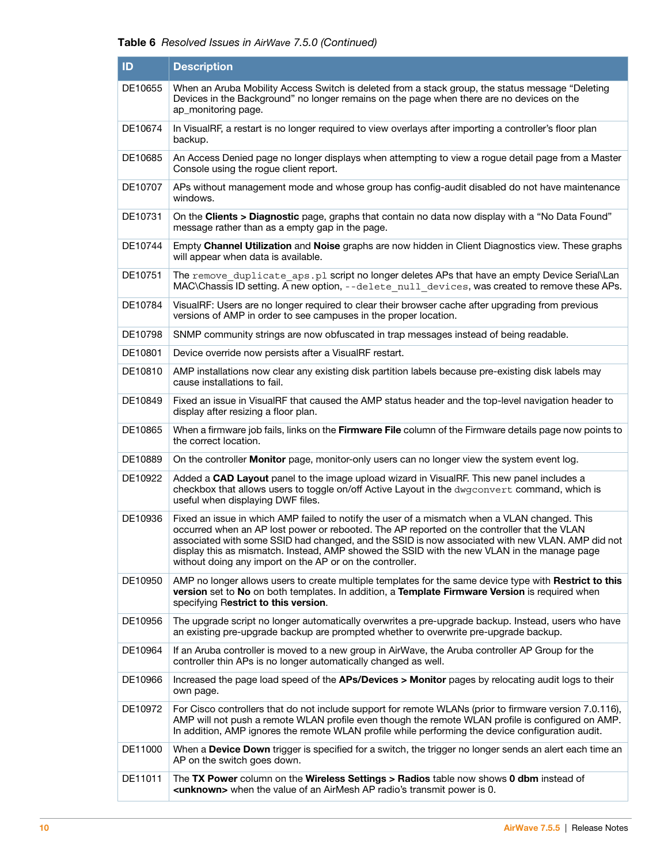| ID      | <b>Description</b>                                                                                                                                                                                                                                                                                                                                                                                                                                          |
|---------|-------------------------------------------------------------------------------------------------------------------------------------------------------------------------------------------------------------------------------------------------------------------------------------------------------------------------------------------------------------------------------------------------------------------------------------------------------------|
| DE10655 | When an Aruba Mobility Access Switch is deleted from a stack group, the status message "Deleting<br>Devices in the Background" no longer remains on the page when there are no devices on the<br>ap_monitoring page.                                                                                                                                                                                                                                        |
| DE10674 | In VisualRF, a restart is no longer required to view overlays after importing a controller's floor plan<br>backup.                                                                                                                                                                                                                                                                                                                                          |
| DE10685 | An Access Denied page no longer displays when attempting to view a rogue detail page from a Master<br>Console using the rogue client report.                                                                                                                                                                                                                                                                                                                |
| DE10707 | APs without management mode and whose group has config-audit disabled do not have maintenance<br>windows.                                                                                                                                                                                                                                                                                                                                                   |
| DE10731 | On the Clients > Diagnostic page, graphs that contain no data now display with a "No Data Found"<br>message rather than as a empty gap in the page.                                                                                                                                                                                                                                                                                                         |
| DE10744 | Empty Channel Utilization and Noise graphs are now hidden in Client Diagnostics view. These graphs<br>will appear when data is available.                                                                                                                                                                                                                                                                                                                   |
| DE10751 | The remove duplicate aps.pl script no longer deletes APs that have an empty Device Serial\Lan<br>MAC\Chassis ID setting. A new option, --delete null_devices, was created to remove these APs.                                                                                                                                                                                                                                                              |
| DE10784 | VisualRF: Users are no longer required to clear their browser cache after upgrading from previous<br>versions of AMP in order to see campuses in the proper location.                                                                                                                                                                                                                                                                                       |
| DE10798 | SNMP community strings are now obfuscated in trap messages instead of being readable.                                                                                                                                                                                                                                                                                                                                                                       |
| DE10801 | Device override now persists after a VisualRF restart.                                                                                                                                                                                                                                                                                                                                                                                                      |
| DE10810 | AMP installations now clear any existing disk partition labels because pre-existing disk labels may<br>cause installations to fail.                                                                                                                                                                                                                                                                                                                         |
| DE10849 | Fixed an issue in VisualRF that caused the AMP status header and the top-level navigation header to<br>display after resizing a floor plan.                                                                                                                                                                                                                                                                                                                 |
| DE10865 | When a firmware job fails, links on the Firmware File column of the Firmware details page now points to<br>the correct location.                                                                                                                                                                                                                                                                                                                            |
| DE10889 | On the controller <b>Monitor</b> page, monitor-only users can no longer view the system event log.                                                                                                                                                                                                                                                                                                                                                          |
| DE10922 | Added a <b>CAD Layout</b> panel to the image upload wizard in VisualRF. This new panel includes a<br>checkbox that allows users to toggle on/off Active Layout in the dwgconvert command, which is<br>useful when displaying DWF files.                                                                                                                                                                                                                     |
| DE10936 | Fixed an issue in which AMP failed to notify the user of a mismatch when a VLAN changed. This<br>occurred when an AP lost power or rebooted. The AP reported on the controller that the VLAN<br>associated with some SSID had changed, and the SSID is now associated with new VLAN. AMP did not<br>display this as mismatch. Instead, AMP showed the SSID with the new VLAN in the manage page<br>without doing any import on the AP or on the controller. |
| DE10950 | AMP no longer allows users to create multiple templates for the same device type with Restrict to this<br>version set to No on both templates. In addition, a Template Firmware Version is required when<br>specifying Restrict to this version.                                                                                                                                                                                                            |
| DE10956 | The upgrade script no longer automatically overwrites a pre-upgrade backup. Instead, users who have<br>an existing pre-upgrade backup are prompted whether to overwrite pre-upgrade backup.                                                                                                                                                                                                                                                                 |
| DE10964 | If an Aruba controller is moved to a new group in AirWave, the Aruba controller AP Group for the<br>controller thin APs is no longer automatically changed as well.                                                                                                                                                                                                                                                                                         |
| DE10966 | Increased the page load speed of the APs/Devices > Monitor pages by relocating audit logs to their<br>own page.                                                                                                                                                                                                                                                                                                                                             |
| DE10972 | For Cisco controllers that do not include support for remote WLANs (prior to firmware version 7.0.116),<br>AMP will not push a remote WLAN profile even though the remote WLAN profile is configured on AMP.<br>In addition, AMP ignores the remote WLAN profile while performing the device configuration audit.                                                                                                                                           |
| DE11000 | When a <b>Device Down</b> trigger is specified for a switch, the trigger no longer sends an alert each time an<br>AP on the switch goes down.                                                                                                                                                                                                                                                                                                               |
| DE11011 | The TX Power column on the Wireless Settings > Radios table now shows 0 dbm instead of<br><unknown> when the value of an AirMesh AP radio's transmit power is 0.</unknown>                                                                                                                                                                                                                                                                                  |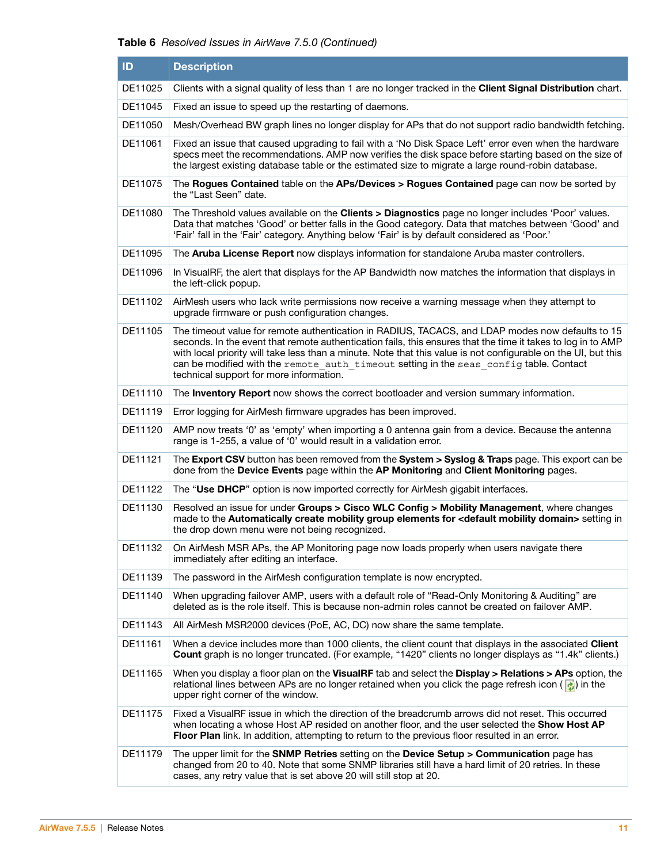| ID      | <b>Description</b>                                                                                                                                                                                                                                                                                                                                                                                                                                                      |
|---------|-------------------------------------------------------------------------------------------------------------------------------------------------------------------------------------------------------------------------------------------------------------------------------------------------------------------------------------------------------------------------------------------------------------------------------------------------------------------------|
| DE11025 | Clients with a signal quality of less than 1 are no longer tracked in the Client Signal Distribution chart.                                                                                                                                                                                                                                                                                                                                                             |
| DE11045 | Fixed an issue to speed up the restarting of daemons.                                                                                                                                                                                                                                                                                                                                                                                                                   |
| DE11050 | Mesh/Overhead BW graph lines no longer display for APs that do not support radio bandwidth fetching.                                                                                                                                                                                                                                                                                                                                                                    |
| DE11061 | Fixed an issue that caused upgrading to fail with a 'No Disk Space Left' error even when the hardware<br>specs meet the recommendations. AMP now verifies the disk space before starting based on the size of<br>the largest existing database table or the estimated size to migrate a large round-robin database.                                                                                                                                                     |
| DE11075 | The Rogues Contained table on the APs/Devices > Rogues Contained page can now be sorted by<br>the "Last Seen" date.                                                                                                                                                                                                                                                                                                                                                     |
| DE11080 | The Threshold values available on the Clients > Diagnostics page no longer includes 'Poor' values.<br>Data that matches 'Good' or better falls in the Good category. Data that matches between 'Good' and<br>'Fair' fall in the 'Fair' category. Anything below 'Fair' is by default considered as 'Poor.'                                                                                                                                                              |
| DE11095 | The Aruba License Report now displays information for standalone Aruba master controllers.                                                                                                                                                                                                                                                                                                                                                                              |
| DE11096 | In VisualRF, the alert that displays for the AP Bandwidth now matches the information that displays in<br>the left-click popup.                                                                                                                                                                                                                                                                                                                                         |
| DE11102 | AirMesh users who lack write permissions now receive a warning message when they attempt to<br>upgrade firmware or push configuration changes.                                                                                                                                                                                                                                                                                                                          |
| DE11105 | The timeout value for remote authentication in RADIUS, TACACS, and LDAP modes now defaults to 15<br>seconds. In the event that remote authentication fails, this ensures that the time it takes to log in to AMP<br>with local priority will take less than a minute. Note that this value is not configurable on the UI, but this<br>can be modified with the remote auth timeout setting in the seas config table. Contact<br>technical support for more information. |
| DE11110 | The <b>Inventory Report</b> now shows the correct bootloader and version summary information.                                                                                                                                                                                                                                                                                                                                                                           |
| DE11119 | Error logging for AirMesh firmware upgrades has been improved.                                                                                                                                                                                                                                                                                                                                                                                                          |
| DE11120 | AMP now treats '0' as 'empty' when importing a 0 antenna gain from a device. Because the antenna<br>range is 1-255, a value of '0' would result in a validation error.                                                                                                                                                                                                                                                                                                  |
| DE11121 | The Export CSV button has been removed from the System > Syslog & Traps page. This export can be<br>done from the Device Events page within the AP Monitoring and Client Monitoring pages.                                                                                                                                                                                                                                                                              |
| DE11122 | The "Use DHCP" option is now imported correctly for AirMesh gigabit interfaces.                                                                                                                                                                                                                                                                                                                                                                                         |
| DE11130 | Resolved an issue for under Groups > Cisco WLC Config > Mobility Management, where changes<br>made to the Automatically create mobility group elements for <default domain="" mobility=""> setting in<br/>the drop down menu were not being recognized.</default>                                                                                                                                                                                                       |
| DE11132 | On AirMesh MSR APs, the AP Monitoring page now loads properly when users navigate there<br>immediately after editing an interface.                                                                                                                                                                                                                                                                                                                                      |
| DE11139 | The password in the AirMesh configuration template is now encrypted.                                                                                                                                                                                                                                                                                                                                                                                                    |
| DE11140 | When upgrading failover AMP, users with a default role of "Read-Only Monitoring & Auditing" are<br>deleted as is the role itself. This is because non-admin roles cannot be created on failover AMP.                                                                                                                                                                                                                                                                    |
| DE11143 | All AirMesh MSR2000 devices (PoE, AC, DC) now share the same template.                                                                                                                                                                                                                                                                                                                                                                                                  |
| DE11161 | When a device includes more than 1000 clients, the client count that displays in the associated Client<br>Count graph is no longer truncated. (For example, "1420" clients no longer displays as "1.4k" clients.)                                                                                                                                                                                                                                                       |
| DE11165 | When you display a floor plan on the VisualRF tab and select the Display $>$ Relations $>$ APs option, the<br>relational lines between APs are no longer retained when you click the page refresh icon ( $\left \frac{1}{\Phi}\right $ ) in the<br>upper right corner of the window.                                                                                                                                                                                    |
| DE11175 | Fixed a VisualRF issue in which the direction of the breadcrumb arrows did not reset. This occurred<br>when locating a whose Host AP resided on another floor, and the user selected the <b>Show Host AP</b><br>Floor Plan link. In addition, attempting to return to the previous floor resulted in an error.                                                                                                                                                          |
| DE11179 | The upper limit for the <b>SNMP Retries</b> setting on the <b>Device Setup &gt; Communication</b> page has<br>changed from 20 to 40. Note that some SNMP libraries still have a hard limit of 20 retries. In these<br>cases, any retry value that is set above 20 will still stop at 20.                                                                                                                                                                                |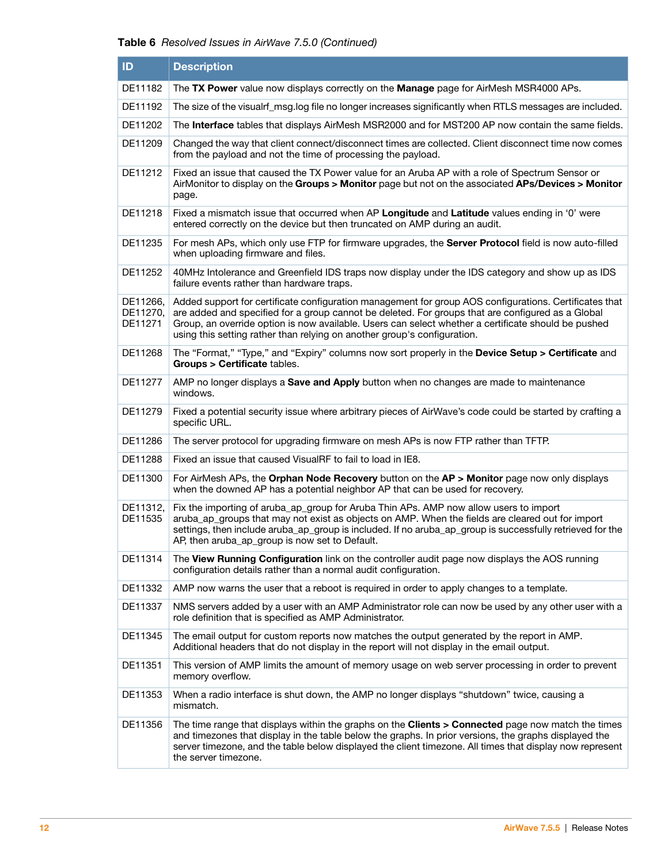| ID                              | <b>Description</b>                                                                                                                                                                                                                                                                                                                                                                             |
|---------------------------------|------------------------------------------------------------------------------------------------------------------------------------------------------------------------------------------------------------------------------------------------------------------------------------------------------------------------------------------------------------------------------------------------|
| DE11182                         | The TX Power value now displays correctly on the Manage page for AirMesh MSR4000 APs.                                                                                                                                                                                                                                                                                                          |
| DE11192                         | The size of the visualrf_msg.log file no longer increases significantly when RTLS messages are included.                                                                                                                                                                                                                                                                                       |
| DE11202                         | The Interface tables that displays AirMesh MSR2000 and for MST200 AP now contain the same fields.                                                                                                                                                                                                                                                                                              |
| DE11209                         | Changed the way that client connect/disconnect times are collected. Client disconnect time now comes<br>from the payload and not the time of processing the payload.                                                                                                                                                                                                                           |
| DE11212                         | Fixed an issue that caused the TX Power value for an Aruba AP with a role of Spectrum Sensor or<br>AirMonitor to display on the Groups > Monitor page but not on the associated APs/Devices > Monitor<br>page.                                                                                                                                                                                 |
| DE11218                         | Fixed a mismatch issue that occurred when AP Longitude and Latitude values ending in '0' were<br>entered correctly on the device but then truncated on AMP during an audit.                                                                                                                                                                                                                    |
| DE11235                         | For mesh APs, which only use FTP for firmware upgrades, the Server Protocol field is now auto-filled<br>when uploading firmware and files.                                                                                                                                                                                                                                                     |
| DE11252                         | 40MHz Intolerance and Greenfield IDS traps now display under the IDS category and show up as IDS<br>failure events rather than hardware traps.                                                                                                                                                                                                                                                 |
| DE11266,<br>DE11270.<br>DE11271 | Added support for certificate configuration management for group AOS configurations. Certificates that<br>are added and specified for a group cannot be deleted. For groups that are configured as a Global<br>Group, an override option is now available. Users can select whether a certificate should be pushed<br>using this setting rather than relying on another group's configuration. |
| DE11268                         | The "Format," "Type," and "Expiry" columns now sort properly in the Device Setup > Certificate and<br>Groups > Certificate tables.                                                                                                                                                                                                                                                             |
| DE11277                         | AMP no longer displays a Save and Apply button when no changes are made to maintenance<br>windows.                                                                                                                                                                                                                                                                                             |
| DE11279                         | Fixed a potential security issue where arbitrary pieces of AirWave's code could be started by crafting a<br>specific URL.                                                                                                                                                                                                                                                                      |
| DE11286                         | The server protocol for upgrading firmware on mesh APs is now FTP rather than TFTP.                                                                                                                                                                                                                                                                                                            |
| DE11288                         | Fixed an issue that caused VisualRF to fail to load in IE8.                                                                                                                                                                                                                                                                                                                                    |
| DE11300                         | For AirMesh APs, the Orphan Node Recovery button on the AP > Monitor page now only displays<br>when the downed AP has a potential neighbor AP that can be used for recovery.                                                                                                                                                                                                                   |
| DE11312,<br>DE11535             | Fix the importing of aruba_ap_group for Aruba Thin APs. AMP now allow users to import<br>aruba_ap_groups that may not exist as objects on AMP. When the fields are cleared out for import<br>settings, then include aruba_ap_group is included. If no aruba_ap_group is successfully retrieved for the<br>AP, then aruba_ap_group is now set to Default.                                       |
| DE11314                         | The View Running Configuration link on the controller audit page now displays the AOS running<br>configuration details rather than a normal audit configuration.                                                                                                                                                                                                                               |
| DE11332                         | AMP now warns the user that a reboot is required in order to apply changes to a template.                                                                                                                                                                                                                                                                                                      |
| DE11337                         | NMS servers added by a user with an AMP Administrator role can now be used by any other user with a<br>role definition that is specified as AMP Administrator.                                                                                                                                                                                                                                 |
| DE11345                         | The email output for custom reports now matches the output generated by the report in AMP.<br>Additional headers that do not display in the report will not display in the email output.                                                                                                                                                                                                       |
| DE11351                         | This version of AMP limits the amount of memory usage on web server processing in order to prevent<br>memory overflow.                                                                                                                                                                                                                                                                         |
| DE11353                         | When a radio interface is shut down, the AMP no longer displays "shutdown" twice, causing a<br>mismatch.                                                                                                                                                                                                                                                                                       |
| DE11356                         | The time range that displays within the graphs on the Clients > Connected page now match the times<br>and timezones that display in the table below the graphs. In prior versions, the graphs displayed the<br>server timezone, and the table below displayed the client timezone. All times that display now represent<br>the server timezone.                                                |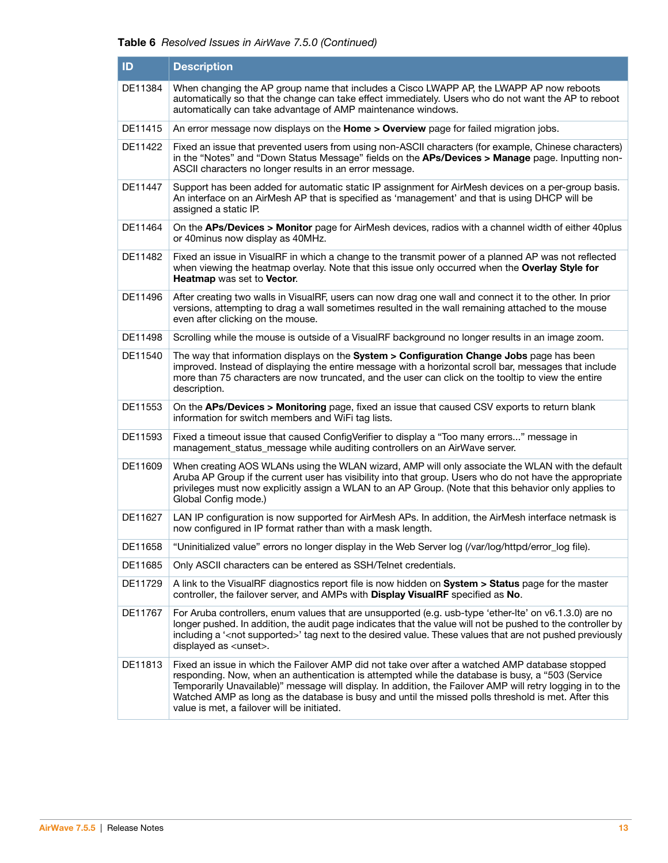| ID      | <b>Description</b>                                                                                                                                                                                                                                                                                                                                                                                                                                                      |
|---------|-------------------------------------------------------------------------------------------------------------------------------------------------------------------------------------------------------------------------------------------------------------------------------------------------------------------------------------------------------------------------------------------------------------------------------------------------------------------------|
| DE11384 | When changing the AP group name that includes a Cisco LWAPP AP, the LWAPP AP now reboots<br>automatically so that the change can take effect immediately. Users who do not want the AP to reboot<br>automatically can take advantage of AMP maintenance windows.                                                                                                                                                                                                        |
| DE11415 | An error message now displays on the Home > Overview page for failed migration jobs.                                                                                                                                                                                                                                                                                                                                                                                    |
| DE11422 | Fixed an issue that prevented users from using non-ASCII characters (for example, Chinese characters)<br>in the "Notes" and "Down Status Message" fields on the APs/Devices > Manage page. Inputting non-<br>ASCII characters no longer results in an error message.                                                                                                                                                                                                    |
| DE11447 | Support has been added for automatic static IP assignment for AirMesh devices on a per-group basis.<br>An interface on an AirMesh AP that is specified as 'management' and that is using DHCP will be<br>assigned a static IP.                                                                                                                                                                                                                                          |
| DE11464 | On the APs/Devices > Monitor page for AirMesh devices, radios with a channel width of either 40plus<br>or 40 minus now display as 40 MHz.                                                                                                                                                                                                                                                                                                                               |
| DE11482 | Fixed an issue in VisualRF in which a change to the transmit power of a planned AP was not reflected<br>when viewing the heatmap overlay. Note that this issue only occurred when the Overlay Style for<br>Heatmap was set to Vector.                                                                                                                                                                                                                                   |
| DE11496 | After creating two walls in VisualRF, users can now drag one wall and connect it to the other. In prior<br>versions, attempting to drag a wall sometimes resulted in the wall remaining attached to the mouse<br>even after clicking on the mouse.                                                                                                                                                                                                                      |
| DE11498 | Scrolling while the mouse is outside of a VisualRF background no longer results in an image zoom.                                                                                                                                                                                                                                                                                                                                                                       |
| DE11540 | The way that information displays on the System > Configuration Change Jobs page has been<br>improved. Instead of displaying the entire message with a horizontal scroll bar, messages that include<br>more than 75 characters are now truncated, and the user can click on the tooltip to view the entire<br>description.                                                                                                                                              |
| DE11553 | On the APs/Devices > Monitoring page, fixed an issue that caused CSV exports to return blank<br>information for switch members and WiFi tag lists.                                                                                                                                                                                                                                                                                                                      |
| DE11593 | Fixed a timeout issue that caused ConfigVerifier to display a "Too many errors" message in<br>management_status_message while auditing controllers on an AirWave server.                                                                                                                                                                                                                                                                                                |
| DE11609 | When creating AOS WLANs using the WLAN wizard, AMP will only associate the WLAN with the default<br>Aruba AP Group if the current user has visibility into that group. Users who do not have the appropriate<br>privileges must now explicitly assign a WLAN to an AP Group. (Note that this behavior only applies to<br>Global Config mode.)                                                                                                                           |
| DE11627 | LAN IP configuration is now supported for AirMesh APs. In addition, the AirMesh interface netmask is<br>now configured in IP format rather than with a mask length.                                                                                                                                                                                                                                                                                                     |
| DE11658 | "Uninitialized value" errors no longer display in the Web Server log (/var/log/httpd/error_log file).                                                                                                                                                                                                                                                                                                                                                                   |
| DE11685 | Only ASCII characters can be entered as SSH/Telnet credentials.                                                                                                                                                                                                                                                                                                                                                                                                         |
| DE11729 | A link to the VisualRF diagnostics report file is now hidden on System > Status page for the master<br>controller, the failover server, and AMPs with Display VisualRF specified as No.                                                                                                                                                                                                                                                                                 |
| DE11767 | For Aruba controllers, enum values that are unsupported (e.g. usb-type 'ether-lte' on v6.1.3.0) are no<br>longer pushed. In addition, the audit page indicates that the value will not be pushed to the controller by<br>including a ' <not supported="">' tag next to the desired value. These values that are not pushed previously<br/>displayed as <unset>.</unset></not>                                                                                           |
| DE11813 | Fixed an issue in which the Failover AMP did not take over after a watched AMP database stopped<br>responding. Now, when an authentication is attempted while the database is busy, a "503 (Service<br>Temporarily Unavailable)" message will display. In addition, the Failover AMP will retry logging in to the<br>Watched AMP as long as the database is busy and until the missed polls threshold is met. After this<br>value is met, a failover will be initiated. |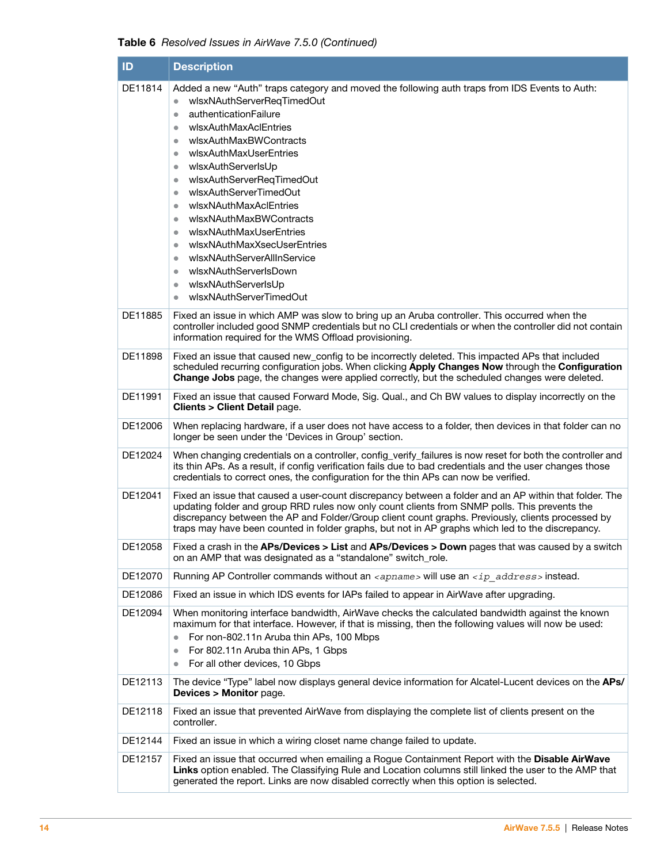|  |  |  |  |  | Table 6 Resolved Issues in AirWave 7.5.0 (Continued) |
|--|--|--|--|--|------------------------------------------------------|
|--|--|--|--|--|------------------------------------------------------|

| ID      | <b>Description</b>                                                                                                                                                                                                                                                                                                                                                                                                                                                                                                                                                                                                                                                                                                                                      |
|---------|---------------------------------------------------------------------------------------------------------------------------------------------------------------------------------------------------------------------------------------------------------------------------------------------------------------------------------------------------------------------------------------------------------------------------------------------------------------------------------------------------------------------------------------------------------------------------------------------------------------------------------------------------------------------------------------------------------------------------------------------------------|
| DE11814 | Added a new "Auth" traps category and moved the following auth traps from IDS Events to Auth:<br>wlsxNAuthServerReqTimedOut<br>$\bullet$<br>authenticationFailure<br>$\bullet$<br>wlsxAuthMaxAclEntries<br>$\bullet$<br>wlsxAuthMaxBWContracts<br>$\bullet$<br>wlsxAuthMaxUserEntries<br>$\bullet$<br>wlsxAuthServerIsUp<br>$\bullet$<br>wlsxAuthServerReqTimedOut<br>$\bullet$<br>wlsxAuthServerTimedOut<br>$\bullet$<br>wlsxNAuthMaxAclEntries<br>$\bullet$<br>wlsxNAuthMaxBWContracts<br>$\bullet$<br>wlsxNAuthMaxUserEntries<br>$\bullet$<br>wlsxNAuthMaxXsecUserEntries<br>$\bullet$<br>wlsxNAuthServerAllInService<br>$\bullet$<br>wlsxNAuthServerIsDown<br>$\bullet$<br>wlsxNAuthServerIsUp<br>$\bullet$<br>wlsxNAuthServerTimedOut<br>$\bullet$ |
| DE11885 | Fixed an issue in which AMP was slow to bring up an Aruba controller. This occurred when the<br>controller included good SNMP credentials but no CLI credentials or when the controller did not contain<br>information required for the WMS Offload provisioning.                                                                                                                                                                                                                                                                                                                                                                                                                                                                                       |
| DE11898 | Fixed an issue that caused new_config to be incorrectly deleted. This impacted APs that included<br>scheduled recurring configuration jobs. When clicking Apply Changes Now through the Configuration<br>Change Jobs page, the changes were applied correctly, but the scheduled changes were deleted.                                                                                                                                                                                                                                                                                                                                                                                                                                                  |
| DE11991 | Fixed an issue that caused Forward Mode, Sig. Qual., and Ch BW values to display incorrectly on the<br>Clients > Client Detail page.                                                                                                                                                                                                                                                                                                                                                                                                                                                                                                                                                                                                                    |
| DE12006 | When replacing hardware, if a user does not have access to a folder, then devices in that folder can no<br>longer be seen under the 'Devices in Group' section.                                                                                                                                                                                                                                                                                                                                                                                                                                                                                                                                                                                         |
| DE12024 | When changing credentials on a controller, config_verify_failures is now reset for both the controller and<br>its thin APs. As a result, if config verification fails due to bad credentials and the user changes those<br>credentials to correct ones, the configuration for the thin APs can now be verified.                                                                                                                                                                                                                                                                                                                                                                                                                                         |
| DE12041 | Fixed an issue that caused a user-count discrepancy between a folder and an AP within that folder. The<br>updating folder and group RRD rules now only count clients from SNMP polls. This prevents the<br>discrepancy between the AP and Folder/Group client count graphs. Previously, clients processed by<br>traps may have been counted in folder graphs, but not in AP graphs which led to the discrepancy.                                                                                                                                                                                                                                                                                                                                        |
| DE12058 | Fixed a crash in the APs/Devices > List and APs/Devices > Down pages that was caused by a switch<br>on an AMP that was designated as a "standalone" switch_role.                                                                                                                                                                                                                                                                                                                                                                                                                                                                                                                                                                                        |
| DE12070 | Running AP Controller commands without an <apname> will use an <ip address=""> instead.</ip></apname>                                                                                                                                                                                                                                                                                                                                                                                                                                                                                                                                                                                                                                                   |
| DE12086 | Fixed an issue in which IDS events for IAPs failed to appear in AirWave after upgrading.                                                                                                                                                                                                                                                                                                                                                                                                                                                                                                                                                                                                                                                                |
| DE12094 | When monitoring interface bandwidth, AirWave checks the calculated bandwidth against the known<br>maximum for that interface. However, if that is missing, then the following values will now be used:<br>For non-802.11n Aruba thin APs, 100 Mbps<br>$\bullet$<br>For 802.11n Aruba thin APs, 1 Gbps<br>$\bullet$<br>For all other devices, 10 Gbps<br>$\bullet$                                                                                                                                                                                                                                                                                                                                                                                       |
| DE12113 | The device "Type" label now displays general device information for Alcatel-Lucent devices on the APs/<br><b>Devices &gt; Monitor page.</b>                                                                                                                                                                                                                                                                                                                                                                                                                                                                                                                                                                                                             |
| DE12118 | Fixed an issue that prevented AirWave from displaying the complete list of clients present on the<br>controller.                                                                                                                                                                                                                                                                                                                                                                                                                                                                                                                                                                                                                                        |
| DE12144 | Fixed an issue in which a wiring closet name change failed to update.                                                                                                                                                                                                                                                                                                                                                                                                                                                                                                                                                                                                                                                                                   |
| DE12157 | Fixed an issue that occurred when emailing a Rogue Containment Report with the Disable AirWave<br>Links option enabled. The Classifying Rule and Location columns still linked the user to the AMP that<br>generated the report. Links are now disabled correctly when this option is selected.                                                                                                                                                                                                                                                                                                                                                                                                                                                         |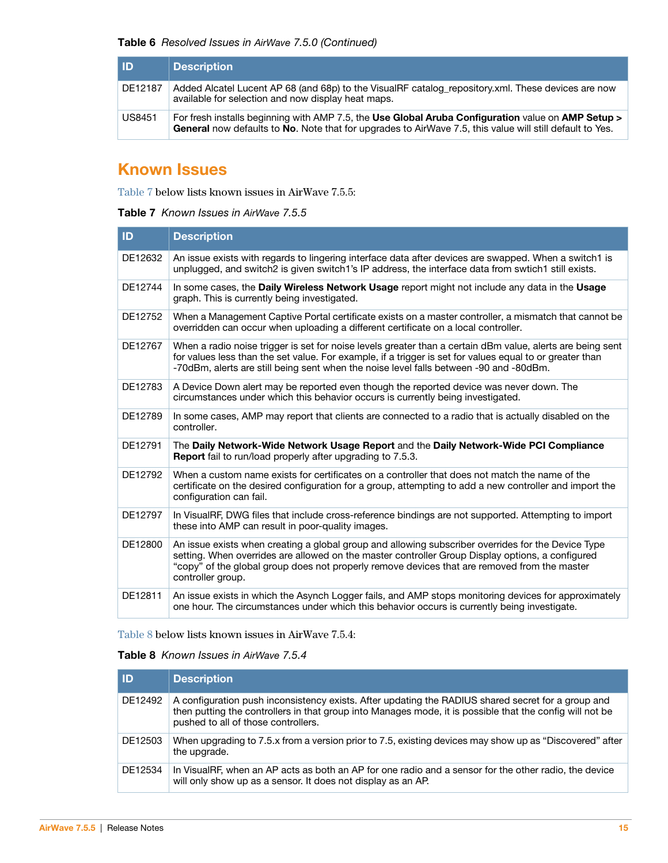| l ID          | <b>Description</b>                                                                                                                                                                                             |
|---------------|----------------------------------------------------------------------------------------------------------------------------------------------------------------------------------------------------------------|
| DE12187       | Added Alcatel Lucent AP 68 (and 68p) to the VisualRF catalog repository.xml. These devices are now<br>available for selection and now display heat maps.                                                       |
| <b>US8451</b> | For fresh installs beginning with AMP 7.5, the Use Global Aruba Configuration value on AMP Setup ><br>General now defaults to No. Note that for upgrades to AirWave 7.5, this value will still default to Yes. |

# <span id="page-14-0"></span>**Known Issues**

[Table 7](#page-14-2) below lists known issues in AirWave 7.5.5:

<span id="page-14-2"></span>

| <b>Table 7</b> Known Issues in AirWave 7.5.5 |  |  |  |  |  |
|----------------------------------------------|--|--|--|--|--|
|----------------------------------------------|--|--|--|--|--|

| ID      | <b>Description</b>                                                                                                                                                                                                                                                                                                          |
|---------|-----------------------------------------------------------------------------------------------------------------------------------------------------------------------------------------------------------------------------------------------------------------------------------------------------------------------------|
| DE12632 | An issue exists with regards to lingering interface data after devices are swapped. When a switch1 is<br>unplugged, and switch2 is given switch1's IP address, the interface data from swtich1 still exists.                                                                                                                |
| DE12744 | In some cases, the Daily Wireless Network Usage report might not include any data in the Usage<br>graph. This is currently being investigated.                                                                                                                                                                              |
| DE12752 | When a Management Captive Portal certificate exists on a master controller, a mismatch that cannot be<br>overridden can occur when uploading a different certificate on a local controller.                                                                                                                                 |
| DE12767 | When a radio noise trigger is set for noise levels greater than a certain dBm value, alerts are being sent<br>for values less than the set value. For example, if a trigger is set for values equal to or greater than<br>-70dBm, alerts are still being sent when the noise level falls between -90 and -80dBm.            |
| DE12783 | A Device Down alert may be reported even though the reported device was never down. The<br>circumstances under which this behavior occurs is currently being investigated.                                                                                                                                                  |
| DE12789 | In some cases, AMP may report that clients are connected to a radio that is actually disabled on the<br>controller.                                                                                                                                                                                                         |
| DE12791 | The Daily Network-Wide Network Usage Report and the Daily Network-Wide PCI Compliance<br><b>Report</b> fail to run/load properly after upgrading to 7.5.3.                                                                                                                                                                  |
| DE12792 | When a custom name exists for certificates on a controller that does not match the name of the<br>certificate on the desired configuration for a group, attempting to add a new controller and import the<br>configuration can fail.                                                                                        |
| DE12797 | In VisualRF, DWG files that include cross-reference bindings are not supported. Attempting to import<br>these into AMP can result in poor-quality images.                                                                                                                                                                   |
| DE12800 | An issue exists when creating a global group and allowing subscriber overrides for the Device Type<br>setting. When overrides are allowed on the master controller Group Display options, a configured<br>"copy" of the global group does not properly remove devices that are removed from the master<br>controller group. |
| DE12811 | An issue exists in which the Asynch Logger fails, and AMP stops monitoring devices for approximately<br>one hour. The circumstances under which this behavior occurs is currently being investigate.                                                                                                                        |

[Table 8](#page-14-1) below lists known issues in AirWave 7.5.4:

## <span id="page-14-1"></span>**Table 8** Known Issues in AirWave 7.5.4

| l ID    | <b>Description</b>                                                                                                                                                                                                                                    |
|---------|-------------------------------------------------------------------------------------------------------------------------------------------------------------------------------------------------------------------------------------------------------|
| DE12492 | A configuration push inconsistency exists. After updating the RADIUS shared secret for a group and<br>then putting the controllers in that group into Manages mode, it is possible that the config will not be<br>pushed to all of those controllers. |
| DE12503 | When upgrading to 7.5.x from a version prior to 7.5, existing devices may show up as "Discovered" after<br>the upgrade.                                                                                                                               |
| DE12534 | In VisualRF, when an AP acts as both an AP for one radio and a sensor for the other radio, the device<br>will only show up as a sensor. It does not display as an AP.                                                                                 |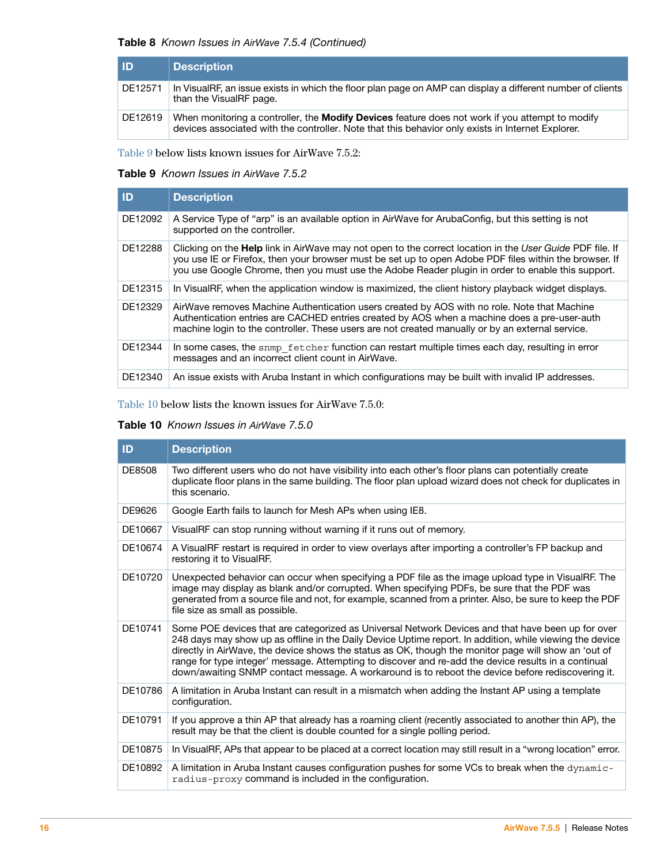### **Table 8** Known Issues in AirWave 7.5.4 (Continued)

| <b>ID</b> | <b>Description</b>                                                                                                                                                                                   |
|-----------|------------------------------------------------------------------------------------------------------------------------------------------------------------------------------------------------------|
| DE12571   | In VisualRF, an issue exists in which the floor plan page on AMP can display a different number of clients<br>than the VisualRF page.                                                                |
| DE12619   | When monitoring a controller, the Modify Devices feature does not work if you attempt to modify<br>devices associated with the controller. Note that this behavior only exists in Internet Explorer. |

[Table 9](#page-15-0) below lists known issues for AirWave 7.5.2:

### <span id="page-15-0"></span>**Table 9** Known Issues in AirWave 7.5.2

| <b>ID</b> | <b>Description</b>                                                                                                                                                                                                                                                                                                             |
|-----------|--------------------------------------------------------------------------------------------------------------------------------------------------------------------------------------------------------------------------------------------------------------------------------------------------------------------------------|
| DE12092   | A Service Type of "arp" is an available option in AirWave for ArubaConfig, but this setting is not<br>supported on the controller.                                                                                                                                                                                             |
| DE12288   | Clicking on the <b>Help</b> link in AirWave may not open to the correct location in the User Guide PDF file. If<br>you use IE or Firefox, then your browser must be set up to open Adobe PDF files within the browser. If<br>you use Google Chrome, then you must use the Adobe Reader plugin in order to enable this support. |
| DE12315   | In VisualRF, when the application window is maximized, the client history playback widget displays.                                                                                                                                                                                                                            |
| DE12329   | AirWave removes Machine Authentication users created by AOS with no role. Note that Machine<br>Authentication entries are CACHED entries created by AOS when a machine does a pre-user-auth<br>machine login to the controller. These users are not created manually or by an external service.                                |
| DE12344   | In some cases, the snmp fetcher function can restart multiple times each day, resulting in error<br>messages and an incorrect client count in AirWave.                                                                                                                                                                         |
| DE12340   | An issue exists with Aruba Instant in which configurations may be built with invalid IP addresses.                                                                                                                                                                                                                             |

[Table 10](#page-15-1) below lists the known issues for AirWave 7.5.0:

### <span id="page-15-1"></span>**Table 10** Known Issues in AirWave 7.5.0

| ID      | <b>Description</b>                                                                                                                                                                                                                                                                                                                                                                                                                                                                                                                 |
|---------|------------------------------------------------------------------------------------------------------------------------------------------------------------------------------------------------------------------------------------------------------------------------------------------------------------------------------------------------------------------------------------------------------------------------------------------------------------------------------------------------------------------------------------|
| DE8508  | Two different users who do not have visibility into each other's floor plans can potentially create<br>duplicate floor plans in the same building. The floor plan upload wizard does not check for duplicates in<br>this scenario.                                                                                                                                                                                                                                                                                                 |
| DE9626  | Google Earth fails to launch for Mesh APs when using IE8.                                                                                                                                                                                                                                                                                                                                                                                                                                                                          |
| DE10667 | VisualRF can stop running without warning if it runs out of memory.                                                                                                                                                                                                                                                                                                                                                                                                                                                                |
| DE10674 | A VisualRF restart is required in order to view overlays after importing a controller's FP backup and<br>restoring it to VisualRF.                                                                                                                                                                                                                                                                                                                                                                                                 |
| DE10720 | Unexpected behavior can occur when specifying a PDF file as the image upload type in VisualRF. The<br>image may display as blank and/or corrupted. When specifying PDFs, be sure that the PDF was<br>generated from a source file and not, for example, scanned from a printer. Also, be sure to keep the PDF<br>file size as small as possible.                                                                                                                                                                                   |
| DE10741 | Some POE devices that are categorized as Universal Network Devices and that have been up for over<br>248 days may show up as offline in the Daily Device Uptime report. In addition, while viewing the device<br>directly in AirWave, the device shows the status as OK, though the monitor page will show an 'out of<br>range for type integer' message. Attempting to discover and re-add the device results in a continual<br>down/awaiting SNMP contact message. A workaround is to reboot the device before rediscovering it. |
| DE10786 | A limitation in Aruba Instant can result in a mismatch when adding the Instant AP using a template<br>configuration.                                                                                                                                                                                                                                                                                                                                                                                                               |
| DE10791 | If you approve a thin AP that already has a roaming client (recently associated to another thin AP), the<br>result may be that the client is double counted for a single polling period.                                                                                                                                                                                                                                                                                                                                           |
| DE10875 | In VisualRF, APs that appear to be placed at a correct location may still result in a "wrong location" error.                                                                                                                                                                                                                                                                                                                                                                                                                      |
| DE10892 | A limitation in Aruba Instant causes configuration pushes for some VCs to break when the dynamic-<br>radius-proxy command is included in the configuration.                                                                                                                                                                                                                                                                                                                                                                        |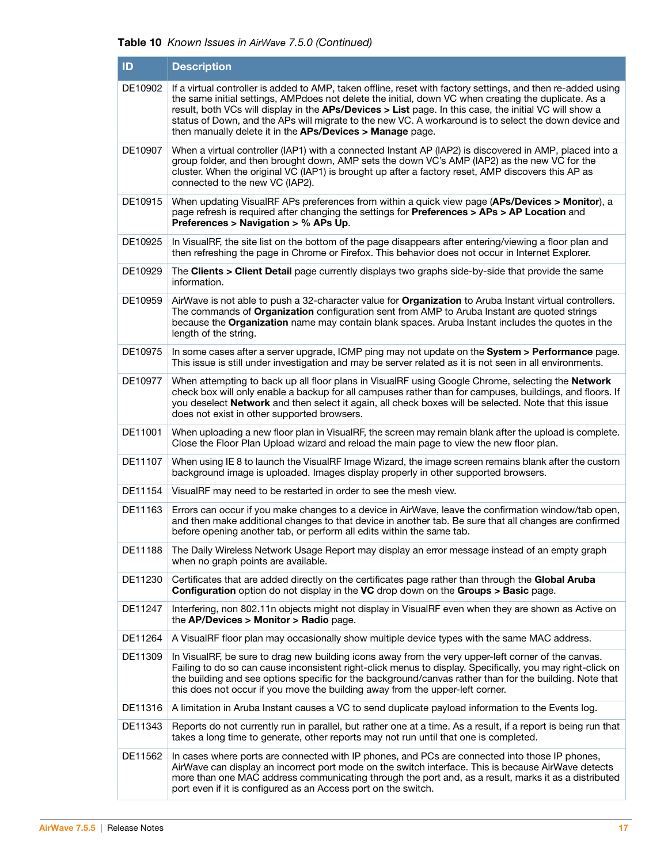## **Table 10** Known Issues in AirWave 7.5.0 (Continued)

| ID      | <b>Description</b>                                                                                                                                                                                                                                                                                                                                                                                                                                                                                   |
|---------|------------------------------------------------------------------------------------------------------------------------------------------------------------------------------------------------------------------------------------------------------------------------------------------------------------------------------------------------------------------------------------------------------------------------------------------------------------------------------------------------------|
| DE10902 | If a virtual controller is added to AMP, taken offline, reset with factory settings, and then re-added using<br>the same initial settings, AMPdoes not delete the initial, down VC when creating the duplicate. As a<br>result, both VCs will display in the APs/Devices > List page. In this case, the initial VC will show a<br>status of Down, and the APs will migrate to the new VC. A workaround is to select the down device and<br>then manually delete it in the APs/Devices > Manage page. |
| DE10907 | When a virtual controller (IAP1) with a connected Instant AP (IAP2) is discovered in AMP, placed into a<br>group folder, and then brought down, AMP sets the down VC's AMP (IAP2) as the new VC for the<br>cluster. When the original VC (IAP1) is brought up after a factory reset, AMP discovers this AP as<br>connected to the new VC (IAP2).                                                                                                                                                     |
| DE10915 | When updating VisualRF APs preferences from within a quick view page (APs/Devices > Monitor), a<br>page refresh is required after changing the settings for Preferences > APs > AP Location and<br>Preferences > Navigation > % APs Up.                                                                                                                                                                                                                                                              |
| DE10925 | In VisualRF, the site list on the bottom of the page disappears after entering/viewing a floor plan and<br>then refreshing the page in Chrome or Firefox. This behavior does not occur in Internet Explorer.                                                                                                                                                                                                                                                                                         |
| DE10929 | The Clients > Client Detail page currently displays two graphs side-by-side that provide the same<br>information.                                                                                                                                                                                                                                                                                                                                                                                    |
| DE10959 | AirWave is not able to push a 32-character value for Organization to Aruba Instant virtual controllers.<br>The commands of Organization configuration sent from AMP to Aruba Instant are quoted strings<br>because the Organization name may contain blank spaces. Aruba Instant includes the quotes in the<br>length of the string.                                                                                                                                                                 |
| DE10975 | In some cases after a server upgrade, ICMP ping may not update on the System > Performance page.<br>This issue is still under investigation and may be server related as it is not seen in all environments.                                                                                                                                                                                                                                                                                         |
| DE10977 | When attempting to back up all floor plans in VisualRF using Google Chrome, selecting the Network<br>check box will only enable a backup for all campuses rather than for campuses, buildings, and floors. If<br>you deselect Network and then select it again, all check boxes will be selected. Note that this issue<br>does not exist in other supported browsers.                                                                                                                                |
| DE11001 | When uploading a new floor plan in VisualRF, the screen may remain blank after the upload is complete.<br>Close the Floor Plan Upload wizard and reload the main page to view the new floor plan.                                                                                                                                                                                                                                                                                                    |
| DE11107 | When using IE 8 to launch the VisualRF Image Wizard, the image screen remains blank after the custom<br>background image is uploaded. Images display properly in other supported browsers.                                                                                                                                                                                                                                                                                                           |
| DE11154 | VisualRF may need to be restarted in order to see the mesh view.                                                                                                                                                                                                                                                                                                                                                                                                                                     |
| DE11163 | Errors can occur if you make changes to a device in AirWave, leave the confirmation window/tab open,<br>and then make additional changes to that device in another tab. Be sure that all changes are confirmed<br>before opening another tab, or perform all edits within the same tab.                                                                                                                                                                                                              |
| DE11188 | The Daily Wireless Network Usage Report may display an error message instead of an empty graph<br>when no graph points are available.                                                                                                                                                                                                                                                                                                                                                                |
| DE11230 | Certificates that are added directly on the certificates page rather than through the Global Aruba<br>Configuration option do not display in the VC drop down on the Groups > Basic page.                                                                                                                                                                                                                                                                                                            |
| DE11247 | Interfering, non 802.11n objects might not display in VisualRF even when they are shown as Active on<br>the AP/Devices > Monitor > Radio page.                                                                                                                                                                                                                                                                                                                                                       |
| DE11264 | A VisualRF floor plan may occasionally show multiple device types with the same MAC address.                                                                                                                                                                                                                                                                                                                                                                                                         |
| DE11309 | In VisualRF, be sure to drag new building icons away from the very upper-left corner of the canvas.<br>Failing to do so can cause inconsistent right-click menus to display. Specifically, you may right-click on<br>the building and see options specific for the background/canvas rather than for the building. Note that<br>this does not occur if you move the building away from the upper-left corner.                                                                                        |
| DE11316 | A limitation in Aruba Instant causes a VC to send duplicate payload information to the Events log.                                                                                                                                                                                                                                                                                                                                                                                                   |
| DE11343 | Reports do not currently run in parallel, but rather one at a time. As a result, if a report is being run that<br>takes a long time to generate, other reports may not run until that one is completed.                                                                                                                                                                                                                                                                                              |
| DE11562 | In cases where ports are connected with IP phones, and PCs are connected into those IP phones,<br>AirWave can display an incorrect port mode on the switch interface. This is because AirWave detects<br>more than one MAC address communicating through the port and, as a result, marks it as a distributed<br>port even if it is configured as an Access port on the switch.                                                                                                                      |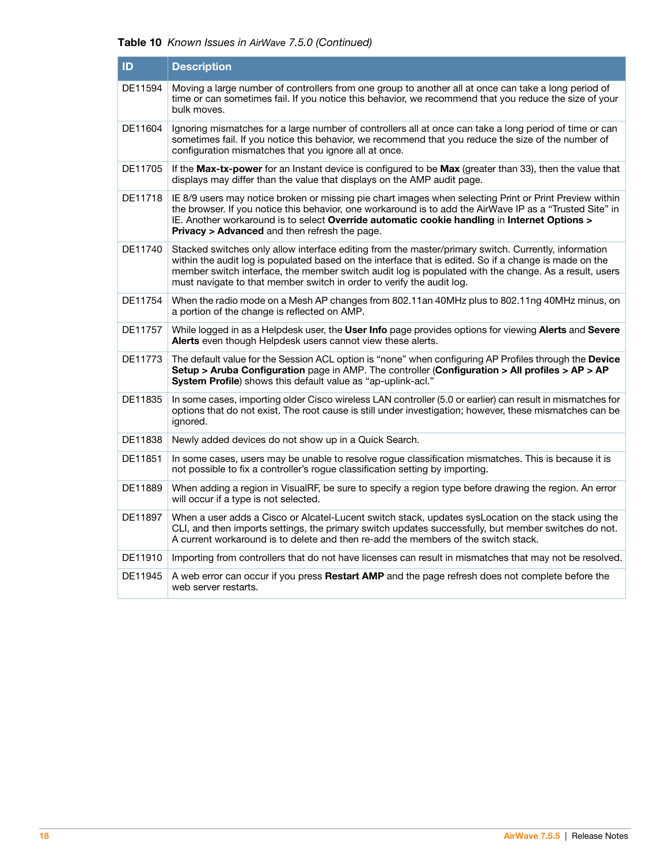## **Table 10** Known Issues in AirWave 7.5.0 (Continued)

| ID      | <b>Description</b>                                                                                                                                                                                                                                                                                                                                                                               |
|---------|--------------------------------------------------------------------------------------------------------------------------------------------------------------------------------------------------------------------------------------------------------------------------------------------------------------------------------------------------------------------------------------------------|
| DE11594 | Moving a large number of controllers from one group to another all at once can take a long period of<br>time or can sometimes fail. If you notice this behavior, we recommend that you reduce the size of your<br>bulk moves.                                                                                                                                                                    |
| DE11604 | Ignoring mismatches for a large number of controllers all at once can take a long period of time or can<br>sometimes fail. If you notice this behavior, we recommend that you reduce the size of the number of<br>configuration mismatches that you ignore all at once.                                                                                                                          |
| DE11705 | If the Max-tx-power for an Instant device is configured to be Max (greater than 33), then the value that<br>displays may differ than the value that displays on the AMP audit page.                                                                                                                                                                                                              |
| DE11718 | IE 8/9 users may notice broken or missing pie chart images when selecting Print or Print Preview within<br>the browser. If you notice this behavior, one workaround is to add the AirWave IP as a "Trusted Site" in<br>IE. Another workaround is to select Override automatic cookie handling in Internet Options ><br><b>Privacy &gt; Advanced</b> and then refresh the page.                   |
| DE11740 | Stacked switches only allow interface editing from the master/primary switch. Currently, information<br>within the audit log is populated based on the interface that is edited. So if a change is made on the<br>member switch interface, the member switch audit log is populated with the change. As a result, users<br>must navigate to that member switch in order to verify the audit log. |
| DE11754 | When the radio mode on a Mesh AP changes from 802.11an 40MHz plus to 802.11ng 40MHz minus, on<br>a portion of the change is reflected on AMP.                                                                                                                                                                                                                                                    |
| DE11757 | While logged in as a Helpdesk user, the User Info page provides options for viewing Alerts and Severe<br>Alerts even though Helpdesk users cannot view these alerts.                                                                                                                                                                                                                             |
| DE11773 | The default value for the Session ACL option is "none" when configuring AP Profiles through the Device<br>Setup > Aruba Configuration page in AMP. The controller (Configuration > All profiles > AP > AP<br>System Profile) shows this default value as "ap-uplink-acl."                                                                                                                        |
| DE11835 | In some cases, importing older Cisco wireless LAN controller (5.0 or earlier) can result in mismatches for<br>options that do not exist. The root cause is still under investigation; however, these mismatches can be<br>ignored.                                                                                                                                                               |
| DE11838 | Newly added devices do not show up in a Quick Search.                                                                                                                                                                                                                                                                                                                                            |
| DE11851 | In some cases, users may be unable to resolve rogue classification mismatches. This is because it is<br>not possible to fix a controller's rogue classification setting by importing.                                                                                                                                                                                                            |
| DE11889 | When adding a region in VisualRF, be sure to specify a region type before drawing the region. An error<br>will occur if a type is not selected.                                                                                                                                                                                                                                                  |
| DE11897 | When a user adds a Cisco or Alcatel-Lucent switch stack, updates sysLocation on the stack using the<br>CLI, and then imports settings, the primary switch updates successfully, but member switches do not.<br>A current workaround is to delete and then re-add the members of the switch stack.                                                                                                |
| DE11910 | Importing from controllers that do not have licenses can result in mismatches that may not be resolved.                                                                                                                                                                                                                                                                                          |
| DE11945 | A web error can occur if you press Restart AMP and the page refresh does not complete before the<br>web server restarts.                                                                                                                                                                                                                                                                         |